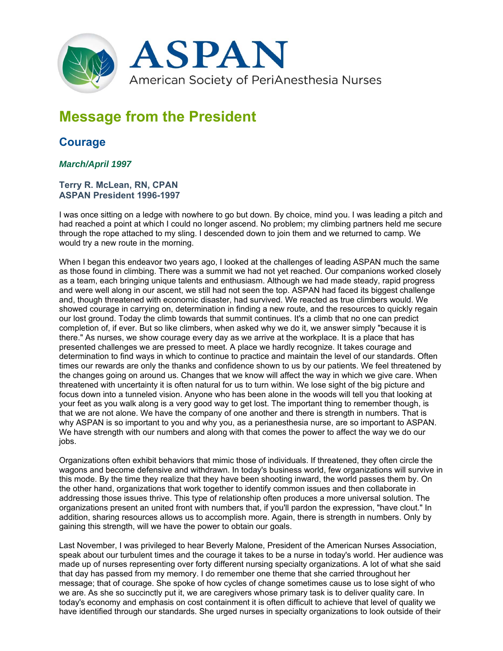

## **Message from the President**

## **Courage**

## *March/April 1997*

## **Terry R. McLean, RN, CPAN ASPAN President 1996-1997**

I was once sitting on a ledge with nowhere to go but down. By choice, mind you. I was leading a pitch and had reached a point at which I could no longer ascend. No problem; my climbing partners held me secure through the rope attached to my sling. I descended down to join them and we returned to camp. We would try a new route in the morning.

When I began this endeavor two years ago, I looked at the challenges of leading ASPAN much the same as those found in climbing. There was a summit we had not yet reached. Our companions worked closely as a team, each bringing unique talents and enthusiasm. Although we had made steady, rapid progress and were well along in our ascent, we still had not seen the top. ASPAN had faced its biggest challenge and, though threatened with economic disaster, had survived. We reacted as true climbers would. We showed courage in carrying on, determination in finding a new route, and the resources to quickly regain our lost ground. Today the climb towards that summit continues. It's a climb that no one can predict completion of, if ever. But so like climbers, when asked why we do it, we answer simply "because it is there." As nurses, we show courage every day as we arrive at the workplace. It is a place that has presented challenges we are pressed to meet. A place we hardly recognize. It takes courage and determination to find ways in which to continue to practice and maintain the level of our standards. Often times our rewards are only the thanks and confidence shown to us by our patients. We feel threatened by the changes going on around us. Changes that we know will affect the way in which we give care. When threatened with uncertainty it is often natural for us to turn within. We lose sight of the big picture and focus down into a tunneled vision. Anyone who has been alone in the woods will tell you that looking at your feet as you walk along is a very good way to get lost. The important thing to remember though, is that we are not alone. We have the company of one another and there is strength in numbers. That is why ASPAN is so important to you and why you, as a perianesthesia nurse, are so important to ASPAN. We have strength with our numbers and along with that comes the power to affect the way we do our iobs.

Organizations often exhibit behaviors that mimic those of individuals. If threatened, they often circle the wagons and become defensive and withdrawn. In today's business world, few organizations will survive in this mode. By the time they realize that they have been shooting inward, the world passes them by. On the other hand, organizations that work together to identify common issues and then collaborate in addressing those issues thrive. This type of relationship often produces a more universal solution. The organizations present an united front with numbers that, if you'll pardon the expression, "have clout." In addition, sharing resources allows us to accomplish more. Again, there is strength in numbers. Only by gaining this strength, will we have the power to obtain our goals.

Last November, I was privileged to hear Beverly Malone, President of the American Nurses Association, speak about our turbulent times and the courage it takes to be a nurse in today's world. Her audience was made up of nurses representing over forty different nursing specialty organizations. A lot of what she said that day has passed from my memory. I do remember one theme that she carried throughout her message; that of courage. She spoke of how cycles of change sometimes cause us to lose sight of who we are. As she so succinctly put it, we are caregivers whose primary task is to deliver quality care. In today's economy and emphasis on cost containment it is often difficult to achieve that level of quality we have identified through our standards. She urged nurses in specialty organizations to look outside of their